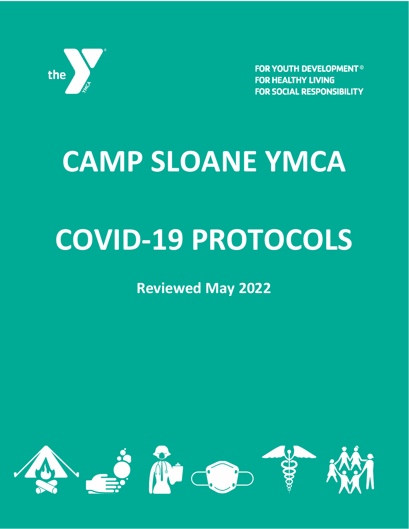

**FOR YOUTH DEVELOPMENT<sup>®</sup> FOR HEALTHY LIVING FOR SOCIAL RESPONSIBILITY** 

# **CAMP SLOANE YMCA**

## **COVID-19 PROTOCOLS**

**Reviewed May 2022**

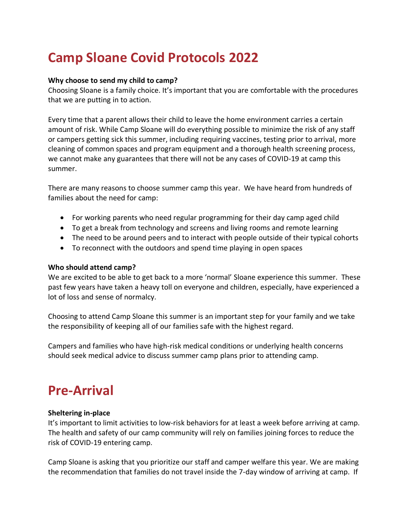## **Camp Sloane Covid Protocols 2022**

#### **Why choose to send my child to camp?**

Choosing Sloane is a family choice. It's important that you are comfortable with the procedures that we are putting in to action.

Every time that a parent allows their child to leave the home environment carries a certain amount of risk. While Camp Sloane will do everything possible to minimize the risk of any staff or campers getting sick this summer, including requiring vaccines, testing prior to arrival, more cleaning of common spaces and program equipment and a thorough health screening process, we cannot make any guarantees that there will not be any cases of COVID-19 at camp this summer.

There are many reasons to choose summer camp this year. We have heard from hundreds of families about the need for camp:

- For working parents who need regular programming for their day camp aged child
- To get a break from technology and screens and living rooms and remote learning
- The need to be around peers and to interact with people outside of their typical cohorts
- To reconnect with the outdoors and spend time playing in open spaces

#### **Who should attend camp?**

We are excited to be able to get back to a more 'normal' Sloane experience this summer. These past few years have taken a heavy toll on everyone and children, especially, have experienced a lot of loss and sense of normalcy.

Choosing to attend Camp Sloane this summer is an important step for your family and we take the responsibility of keeping all of our families safe with the highest regard.

Campers and families who have high-risk medical conditions or underlying health concerns should seek medical advice to discuss summer camp plans prior to attending camp.

## **Pre-Arrival**

#### **Sheltering in-place**

It's important to limit activities to low-risk behaviors for at least a week before arriving at camp. The health and safety of our camp community will rely on families joining forces to reduce the risk of COVID-19 entering camp.

Camp Sloane is asking that you prioritize our staff and camper welfare this year. We are making the recommendation that families do not travel inside the 7-day window of arriving at camp. If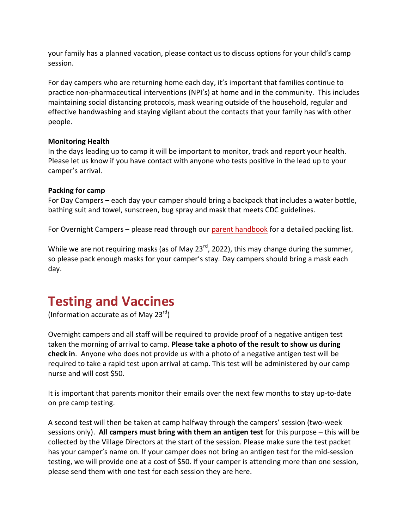your family has a planned vacation, please contact us to discuss options for your child's camp session.

For day campers who are returning home each day, it's important that families continue to practice non-pharmaceutical interventions (NPI's) at home and in the community. This includes maintaining social distancing protocols, mask wearing outside of the household, regular and effective handwashing and staying vigilant about the contacts that your family has with other people.

#### **Monitoring Health**

In the days leading up to camp it will be important to monitor, track and report your health. Please let us know if you have contact with anyone who tests positive in the lead up to your camper's arrival.

#### **Packing for camp**

For Day Campers – each day your camper should bring a backpack that includes a water bottle, bathing suit and towel, sunscreen, bug spray and mask that meets CDC guidelines.

For Overnight Campers – please read through our [parent handbook](https://campsloane.org/client_media/files/pdf/2022%20Resident%20Handbook.pdf) for a detailed packing list.

While we are not requiring masks (as of May 23 $^{rd}$ , 2022), this may change during the summer, so please pack enough masks for your camper's stay. Day campers should bring a mask each day.

### **Testing and Vaccines**

(Information accurate as of May 23 $rd$ )

Overnight campers and all staff will be required to provide proof of a negative antigen test taken the morning of arrival to camp. **Please take a photo of the result to show us during check in**. Anyone who does not provide us with a photo of a negative antigen test will be required to take a rapid test upon arrival at camp. This test will be administered by our camp nurse and will cost \$50.

It is important that parents monitor their emails over the next few months to stay up-to-date on pre camp testing.

A second test will then be taken at camp halfway through the campers' session (two-week sessions only). **All campers must bring with them an antigen test** for this purpose – this will be collected by the Village Directors at the start of the session. Please make sure the test packet has your camper's name on. If your camper does not bring an antigen test for the mid-session testing, we will provide one at a cost of \$50. If your camper is attending more than one session, please send them with one test for each session they are here.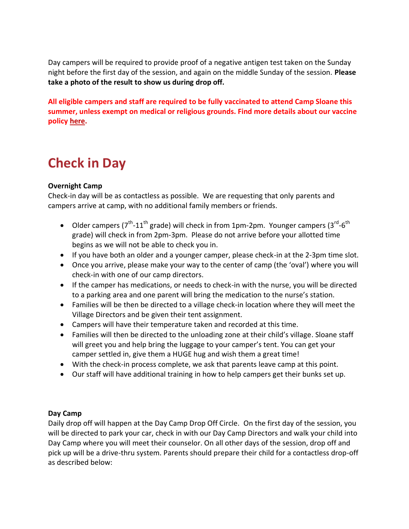Day campers will be required to provide proof of a negative antigen test taken on the Sunday night before the first day of the session, and again on the middle Sunday of the session. **Please take a photo of the result to show us during drop off.**

**All eligible campers and staff are required to be fully vaccinated to attend Camp Sloane this summer, unless exempt on medical or religious grounds. Find more details about our vaccine policy [here.](https://campsloane.org/summer2022updates)**

## **Check in Day**

#### **Overnight Camp**

Check-in day will be as contactless as possible. We are requesting that only parents and campers arrive at camp, with no additional family members or friends.

- Older campers ( $7^{th}$ -11<sup>th</sup> grade) will check in from 1pm-2pm. Younger campers (3<sup>rd</sup>-6<sup>th</sup> grade) will check in from 2pm-3pm. Please do not arrive before your allotted time begins as we will not be able to check you in.
- If you have both an older and a younger camper, please check-in at the 2-3pm time slot.
- Once you arrive, please make your way to the center of camp (the 'oval') where you will check-in with one of our camp directors.
- If the camper has medications, or needs to check-in with the nurse, you will be directed to a parking area and one parent will bring the medication to the nurse's station.
- Families will be then be directed to a village check-in location where they will meet the Village Directors and be given their tent assignment.
- Campers will have their temperature taken and recorded at this time.
- Families will then be directed to the unloading zone at their child's village. Sloane staff will greet you and help bring the luggage to your camper's tent. You can get your camper settled in, give them a HUGE hug and wish them a great time!
- With the check-in process complete, we ask that parents leave camp at this point.
- Our staff will have additional training in how to help campers get their bunks set up.

#### **Day Camp**

Daily drop off will happen at the Day Camp Drop Off Circle. On the first day of the session, you will be directed to park your car, check in with our Day Camp Directors and walk your child into Day Camp where you will meet their counselor. On all other days of the session, drop off and pick up will be a drive-thru system. Parents should prepare their child for a contactless drop-off as described below: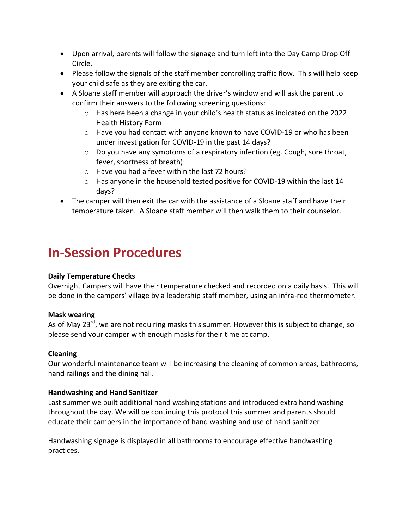- Upon arrival, parents will follow the signage and turn left into the Day Camp Drop Off Circle.
- Please follow the signals of the staff member controlling traffic flow. This will help keep your child safe as they are exiting the car.
- A Sloane staff member will approach the driver's window and will ask the parent to confirm their answers to the following screening questions:
	- $\circ$  Has here been a change in your child's health status as indicated on the 2022 Health History Form
	- $\circ$  Have you had contact with anyone known to have COVID-19 or who has been under investigation for COVID-19 in the past 14 days?
	- $\circ$  Do you have any symptoms of a respiratory infection (eg. Cough, sore throat, fever, shortness of breath)
	- o Have you had a fever within the last 72 hours?
	- $\circ$  Has anyone in the household tested positive for COVID-19 within the last 14 days?
- The camper will then exit the car with the assistance of a Sloane staff and have their temperature taken. A Sloane staff member will then walk them to their counselor.

## **In-Session Procedures**

#### **Daily Temperature Checks**

Overnight Campers will have their temperature checked and recorded on a daily basis. This will be done in the campers' village by a leadership staff member, using an infra-red thermometer.

#### **Mask wearing**

As of May 23 $^{rd}$ , we are not requiring masks this summer. However this is subject to change, so please send your camper with enough masks for their time at camp.

#### **Cleaning**

Our wonderful maintenance team will be increasing the cleaning of common areas, bathrooms, hand railings and the dining hall.

#### **Handwashing and Hand Sanitizer**

Last summer we built additional hand washing stations and introduced extra hand washing throughout the day. We will be continuing this protocol this summer and parents should educate their campers in the importance of hand washing and use of hand sanitizer.

Handwashing signage is displayed in all bathrooms to encourage effective handwashing practices.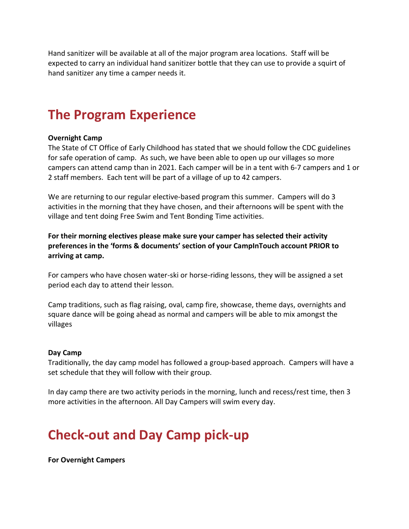Hand sanitizer will be available at all of the major program area locations. Staff will be expected to carry an individual hand sanitizer bottle that they can use to provide a squirt of hand sanitizer any time a camper needs it.

## **The Program Experience**

#### **Overnight Camp**

The State of CT Office of Early Childhood has stated that we should follow the CDC guidelines for safe operation of camp. As such, we have been able to open up our villages so more campers can attend camp than in 2021. Each camper will be in a tent with 6-7 campers and 1 or 2 staff members. Each tent will be part of a village of up to 42 campers.

We are returning to our regular elective-based program this summer. Campers will do 3 activities in the morning that they have chosen, and their afternoons will be spent with the village and tent doing Free Swim and Tent Bonding Time activities.

**For their morning electives please make sure your camper has selected their activity preferences in the 'forms & documents' section of your CampInTouch account PRIOR to arriving at camp.**

For campers who have chosen water-ski or horse-riding lessons, they will be assigned a set period each day to attend their lesson.

Camp traditions, such as flag raising, oval, camp fire, showcase, theme days, overnights and square dance will be going ahead as normal and campers will be able to mix amongst the villages

#### **Day Camp**

Traditionally, the day camp model has followed a group-based approach. Campers will have a set schedule that they will follow with their group.

In day camp there are two activity periods in the morning, lunch and recess/rest time, then 3 more activities in the afternoon. All Day Campers will swim every day.

## **Check-out and Day Camp pick-up**

**For Overnight Campers**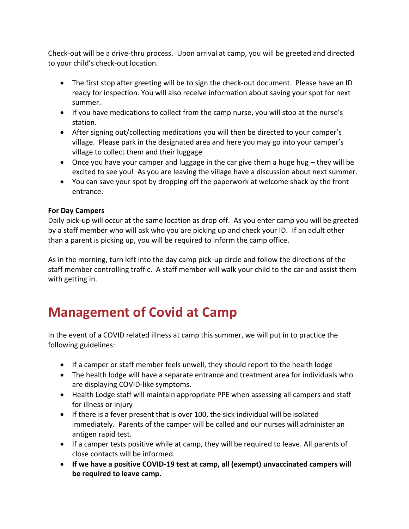Check-out will be a drive-thru process. Upon arrival at camp, you will be greeted and directed to your child's check-out location.

- The first stop after greeting will be to sign the check-out document. Please have an ID ready for inspection. You will also receive information about saving your spot for next summer.
- If you have medications to collect from the camp nurse, you will stop at the nurse's station.
- After signing out/collecting medications you will then be directed to your camper's village. Please park in the designated area and here you may go into your camper's village to collect them and their luggage
- Once you have your camper and luggage in the car give them a huge hug they will be excited to see you! As you are leaving the village have a discussion about next summer.
- You can save your spot by dropping off the paperwork at welcome shack by the front entrance.

#### **For Day Campers**

Daily pick-up will occur at the same location as drop off. As you enter camp you will be greeted by a staff member who will ask who you are picking up and check your ID. If an adult other than a parent is picking up, you will be required to inform the camp office.

As in the morning, turn left into the day camp pick-up circle and follow the directions of the staff member controlling traffic. A staff member will walk your child to the car and assist them with getting in.

## **Management of Covid at Camp**

In the event of a COVID related illness at camp this summer, we will put in to practice the following guidelines:

- If a camper or staff member feels unwell, they should report to the health lodge
- The health lodge will have a separate entrance and treatment area for individuals who are displaying COVID-like symptoms.
- Health Lodge staff will maintain appropriate PPE when assessing all campers and staff for illness or injury
- If there is a fever present that is over 100, the sick individual will be isolated immediately. Parents of the camper will be called and our nurses will administer an antigen rapid test.
- If a camper tests positive while at camp, they will be required to leave. All parents of close contacts will be informed.
- **If we have a positive COVID-19 test at camp, all (exempt) unvaccinated campers will be required to leave camp.**